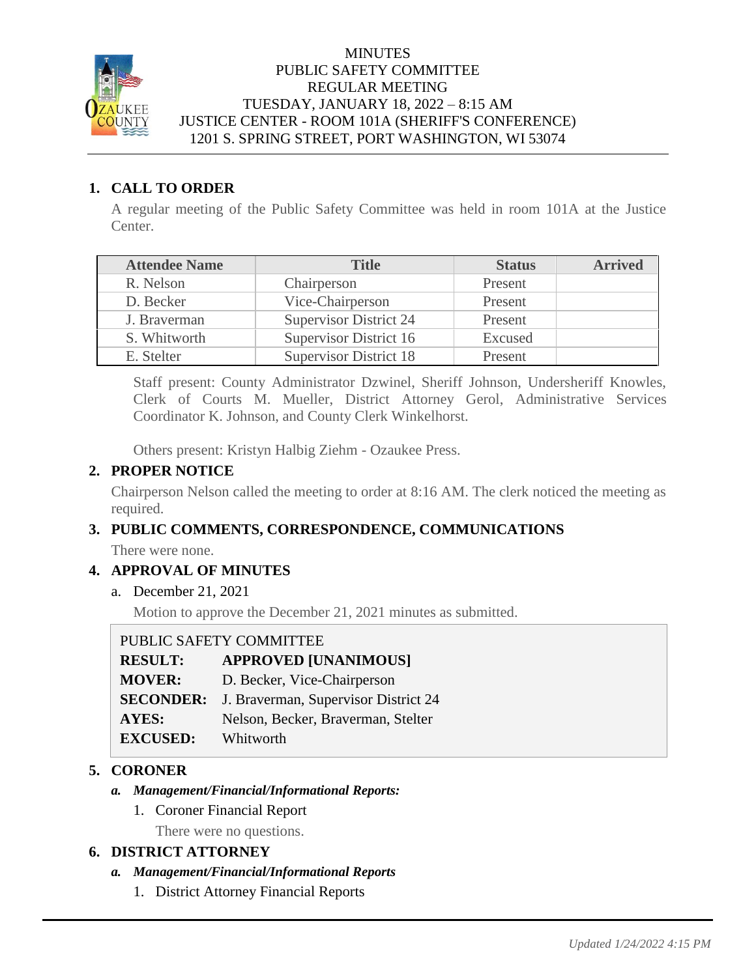

### **MINUTES** PUBLIC SAFETY COMMITTEE REGULAR MEETING TUESDAY, JANUARY 18, 2022 – 8:15 AM JUSTICE CENTER - ROOM 101A (SHERIFF'S CONFERENCE) 1201 S. SPRING STREET, PORT WASHINGTON, WI 53074

### **1. CALL TO ORDER**

A regular meeting of the Public Safety Committee was held in room 101A at the Justice Center.

| <b>Attendee Name</b> | <b>Title</b>                  | <b>Status</b> | <b>Arrived</b> |
|----------------------|-------------------------------|---------------|----------------|
| R. Nelson            | Chairperson                   | Present       |                |
| D. Becker            | Vice-Chairperson              | Present       |                |
| J. Braverman         | <b>Supervisor District 24</b> | Present       |                |
| S. Whitworth         | Supervisor District 16        | Excused       |                |
| E. Stelter           | <b>Supervisor District 18</b> | Present       |                |

Staff present: County Administrator Dzwinel, Sheriff Johnson, Undersheriff Knowles, Clerk of Courts M. Mueller, District Attorney Gerol, Administrative Services Coordinator K. Johnson, and County Clerk Winkelhorst.

Others present: Kristyn Halbig Ziehm - Ozaukee Press.

### **2. PROPER NOTICE**

Chairperson Nelson called the meeting to order at 8:16 AM. The clerk noticed the meeting as required.

## **3. PUBLIC COMMENTS, CORRESPONDENCE, COMMUNICATIONS**

There were none.

## **4. APPROVAL OF MINUTES**

a. December 21, 2021

Motion to approve the December 21, 2021 minutes as submitted.

| PUBLIC SAFETY COMMITTEE |                                      |  |
|-------------------------|--------------------------------------|--|
| <b>RESULT:</b>          | <b>APPROVED [UNANIMOUS]</b>          |  |
| <b>MOVER:</b>           | D. Becker, Vice-Chairperson          |  |
| <b>SECONDER:</b>        | J. Braverman, Supervisor District 24 |  |
| AYES:                   | Nelson, Becker, Braverman, Stelter   |  |
| <b>EXCUSED:</b>         | Whitworth                            |  |

## **5. CORONER**

### *a. Management/Financial/Informational Reports:*

1. Coroner Financial Report

There were no questions.

### **6. DISTRICT ATTORNEY**

### *a. Management/Financial/Informational Reports*

1. District Attorney Financial Reports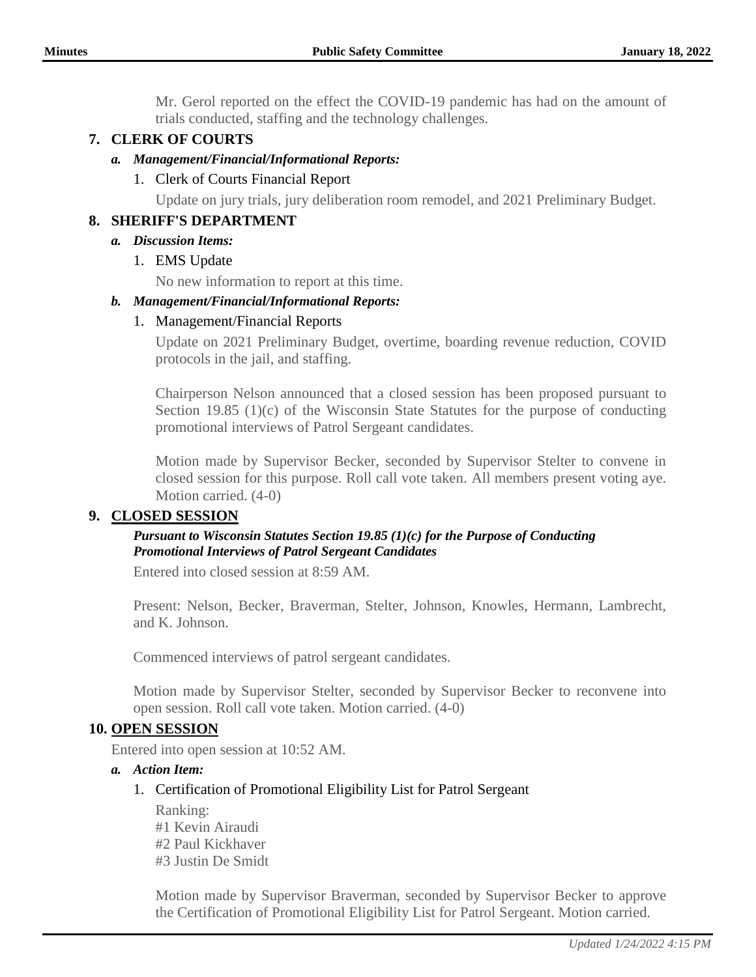Mr. Gerol reported on the effect the COVID-19 pandemic has had on the amount of trials conducted, staffing and the technology challenges.

# **7. CLERK OF COURTS**

### *a. Management/Financial/Informational Reports:*

## 1. Clerk of Courts Financial Report

Update on jury trials, jury deliberation room remodel, and 2021 Preliminary Budget.

## **8. SHERIFF'S DEPARTMENT**

### *a. Discussion Items:*

### 1. EMS Update

No new information to report at this time.

### *b. Management/Financial/Informational Reports:*

### 1. Management/Financial Reports

Update on 2021 Preliminary Budget, overtime, boarding revenue reduction, COVID protocols in the jail, and staffing.

Chairperson Nelson announced that a closed session has been proposed pursuant to Section 19.85 (1)(c) of the Wisconsin State Statutes for the purpose of conducting promotional interviews of Patrol Sergeant candidates.

Motion made by Supervisor Becker, seconded by Supervisor Stelter to convene in closed session for this purpose. Roll call vote taken. All members present voting aye. Motion carried. (4-0)

## **9. CLOSED SESSION**

### *Pursuant to Wisconsin Statutes Section 19.85 (1)(c) for the Purpose of Conducting Promotional Interviews of Patrol Sergeant Candidates*

Entered into closed session at 8:59 AM.

Present: Nelson, Becker, Braverman, Stelter, Johnson, Knowles, Hermann, Lambrecht, and K. Johnson.

Commenced interviews of patrol sergeant candidates.

Motion made by Supervisor Stelter, seconded by Supervisor Becker to reconvene into open session. Roll call vote taken. Motion carried. (4-0)

### **10. OPEN SESSION**

Entered into open session at 10:52 AM.

### *a. Action Item:*

### 1. Certification of Promotional Eligibility List for Patrol Sergeant

Ranking: #1 Kevin Airaudi #2 Paul Kickhaver #3 Justin De Smidt

Motion made by Supervisor Braverman, seconded by Supervisor Becker to approve the Certification of Promotional Eligibility List for Patrol Sergeant. Motion carried.